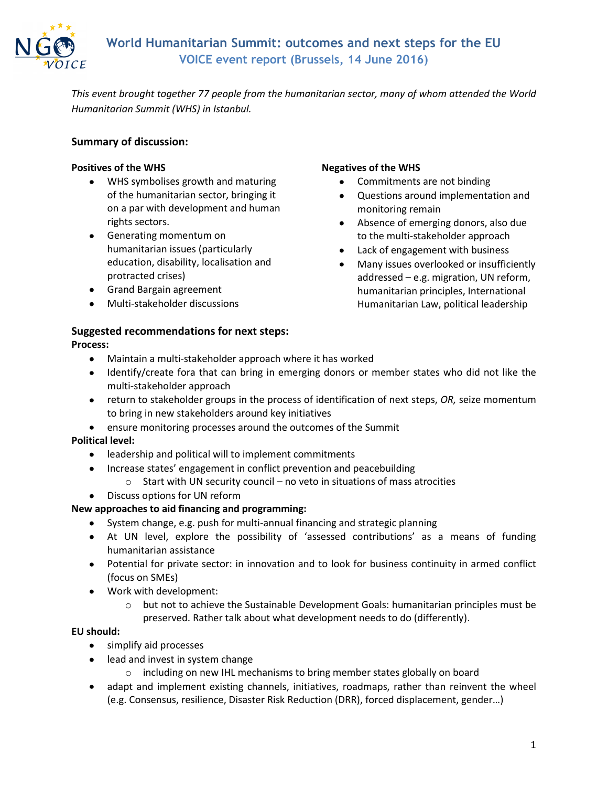

*This event brought together 77 people from the humanitarian sector, many of whom attended the World Humanitarian Summit (WHS) in Istanbul.* 

# **Summary of discussion:**

#### **Positives of the WHS**

- WHS symbolises growth and maturing of the humanitarian sector, bringing it on a par with development and human rights sectors.
- Generating momentum on humanitarian issues (particularly education, disability, localisation and protracted crises)
- **•** Grand Bargain agreement
- Multi-stakeholder discussions

#### **Negatives of the WHS**

- Commitments are not binding
- Questions around implementation and monitoring remain
- Absence of emerging donors, also due to the multi-stakeholder approach
- Lack of engagement with business
- Many issues overlooked or insufficiently addressed – e.g. migration, UN reform, humanitarian principles, International Humanitarian Law, political leadership

### **Suggested recommendations for next steps:**

#### **Process:**

- Maintain a multi-stakeholder approach where it has worked  $\bullet$
- Identify/create fora that can bring in emerging donors or member states who did not like the multi-stakeholder approach
- return to stakeholder groups in the process of identification of next steps, *OR,* seize momentum to bring in new stakeholders around key initiatives
- ensure monitoring processes around the outcomes of the Summit

## **Political level:**

- leadership and political will to implement commitments  $\bullet$
- Increase states' engagement in conflict prevention and peacebuilding  $\bullet$ 
	- o Start with UN security council no veto in situations of mass atrocities
- Discuss options for UN reform

## **New approaches to aid financing and programming:**

- System change, e.g. push for multi-annual financing and strategic planning
- At UN level, explore the possibility of 'assessed contributions' as a means of funding humanitarian assistance
- Potential for private sector: in innovation and to look for business continuity in armed conflict (focus on SMEs)
- Work with development:
	- $\circ$  but not to achieve the Sustainable Development Goals: humanitarian principles must be preserved. Rather talk about what development needs to do (differently).

## **EU should:**

- simplify aid processes  $\bullet$
- lead and invest in system change
	- o including on new IHL mechanisms to bring member states globally on board
- adapt and implement existing channels, initiatives, roadmaps, rather than reinvent the wheel (e.g. Consensus, resilience, Disaster Risk Reduction (DRR), forced displacement, gender…)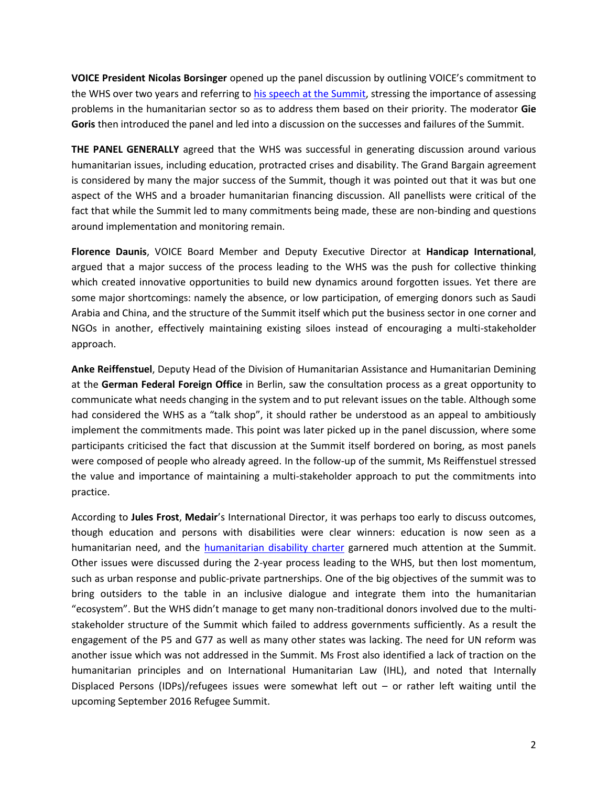**VOICE President Nicolas Borsinger** opened up the panel discussion by outlining VOICE's commitment to the WHS over two years and referring to [his speech at the Summit,](http://www.ngovoice.org/documents/NB%20WHS%20speech%20complete.pdf) stressing the importance of assessing problems in the humanitarian sector so as to address them based on their priority. The moderator **Gie Goris** then introduced the panel and led into a discussion on the successes and failures of the Summit.

**THE PANEL GENERALLY** agreed that the WHS was successful in generating discussion around various humanitarian issues, including education, protracted crises and disability. The Grand Bargain agreement is considered by many the major success of the Summit, though it was pointed out that it was but one aspect of the WHS and a broader humanitarian financing discussion. All panellists were critical of the fact that while the Summit led to many commitments being made, these are non-binding and questions around implementation and monitoring remain.

**Florence Daunis**, VOICE Board Member and Deputy Executive Director at **Handicap International**, argued that a major success of the process leading to the WHS was the push for collective thinking which created innovative opportunities to build new dynamics around forgotten issues. Yet there are some major shortcomings: namely the absence, or low participation, of emerging donors such as Saudi Arabia and China, and the structure of the Summit itself which put the business sector in one corner and NGOs in another, effectively maintaining existing siloes instead of encouraging a multi-stakeholder approach.

**Anke Reiffenstuel**, Deputy Head of the Division of Humanitarian Assistance and Humanitarian Demining at the **German Federal Foreign Office** in Berlin, saw the consultation process as a great opportunity to communicate what needs changing in the system and to put relevant issues on the table. Although some had considered the WHS as a "talk shop", it should rather be understood as an appeal to ambitiously implement the commitments made. This point was later picked up in the panel discussion, where some participants criticised the fact that discussion at the Summit itself bordered on boring, as most panels were composed of people who already agreed. In the follow-up of the summit, Ms Reiffenstuel stressed the value and importance of maintaining a multi-stakeholder approach to put the commitments into practice.

According to **Jules Frost**, **Medair**'s International Director, it was perhaps too early to discuss outcomes, though education and persons with disabilities were clear winners: education is now seen as a humanitarian need, and the [humanitarian disability](http://humanitariandisabilitycharter.org/) charter garnered much attention at the Summit. Other issues were discussed during the 2-year process leading to the WHS, but then lost momentum, such as urban response and public-private partnerships. One of the big objectives of the summit was to bring outsiders to the table in an inclusive dialogue and integrate them into the humanitarian "ecosystem". But the WHS didn't manage to get many non-traditional donors involved due to the multistakeholder structure of the Summit which failed to address governments sufficiently. As a result the engagement of the P5 and G77 as well as many other states was lacking. The need for UN reform was another issue which was not addressed in the Summit. Ms Frost also identified a lack of traction on the humanitarian principles and on International Humanitarian Law (IHL), and noted that Internally Displaced Persons (IDPs)/refugees issues were somewhat left out – or rather left waiting until the upcoming September 2016 Refugee Summit.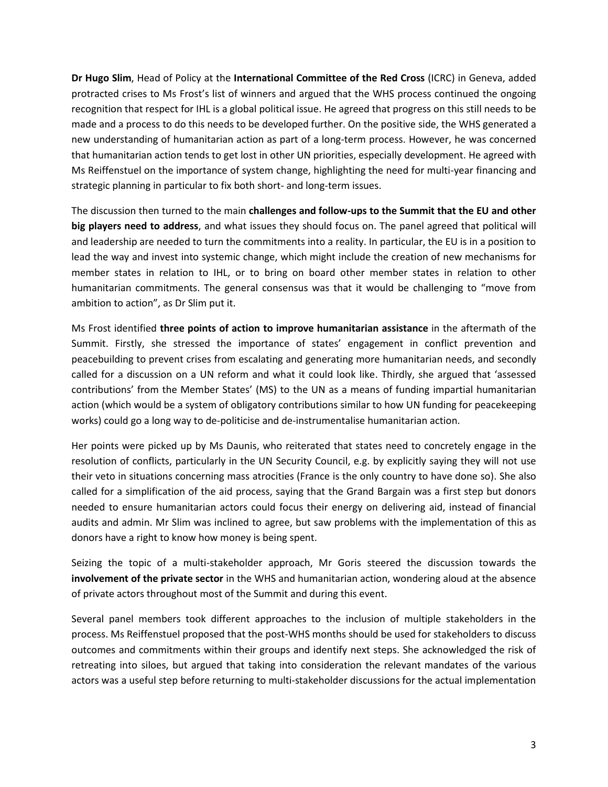**Dr Hugo Slim**, Head of Policy at the **International Committee of the Red Cross** (ICRC) in Geneva, added protracted crises to Ms Frost's list of winners and argued that the WHS process continued the ongoing recognition that respect for IHL is a global political issue. He agreed that progress on this still needs to be made and a process to do this needs to be developed further. On the positive side, the WHS generated a new understanding of humanitarian action as part of a long-term process. However, he was concerned that humanitarian action tends to get lost in other UN priorities, especially development. He agreed with Ms Reiffenstuel on the importance of system change, highlighting the need for multi-year financing and strategic planning in particular to fix both short- and long-term issues.

The discussion then turned to the main **challenges and follow-ups to the Summit that the EU and other big players need to address**, and what issues they should focus on. The panel agreed that political will and leadership are needed to turn the commitments into a reality. In particular, the EU is in a position to lead the way and invest into systemic change, which might include the creation of new mechanisms for member states in relation to IHL, or to bring on board other member states in relation to other humanitarian commitments. The general consensus was that it would be challenging to "move from ambition to action", as Dr Slim put it.

Ms Frost identified **three points of action to improve humanitarian assistance** in the aftermath of the Summit. Firstly, she stressed the importance of states' engagement in conflict prevention and peacebuilding to prevent crises from escalating and generating more humanitarian needs, and secondly called for a discussion on a UN reform and what it could look like. Thirdly, she argued that 'assessed contributions' from the Member States' (MS) to the UN as a means of funding impartial humanitarian action (which would be a system of obligatory contributions similar to how UN funding for peacekeeping works) could go a long way to de-politicise and de-instrumentalise humanitarian action.

Her points were picked up by Ms Daunis, who reiterated that states need to concretely engage in the resolution of conflicts, particularly in the UN Security Council, e.g. by explicitly saying they will not use their veto in situations concerning mass atrocities (France is the only country to have done so). She also called for a simplification of the aid process, saying that the Grand Bargain was a first step but donors needed to ensure humanitarian actors could focus their energy on delivering aid, instead of financial audits and admin. Mr Slim was inclined to agree, but saw problems with the implementation of this as donors have a right to know how money is being spent.

Seizing the topic of a multi-stakeholder approach, Mr Goris steered the discussion towards the **involvement of the private sector** in the WHS and humanitarian action, wondering aloud at the absence of private actors throughout most of the Summit and during this event.

Several panel members took different approaches to the inclusion of multiple stakeholders in the process. Ms Reiffenstuel proposed that the post-WHS months should be used for stakeholders to discuss outcomes and commitments within their groups and identify next steps. She acknowledged the risk of retreating into siloes, but argued that taking into consideration the relevant mandates of the various actors was a useful step before returning to multi-stakeholder discussions for the actual implementation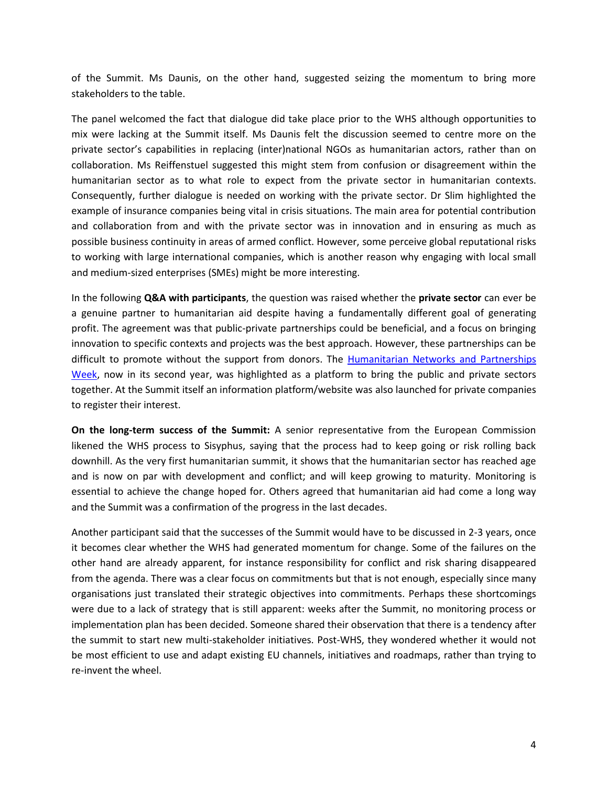of the Summit. Ms Daunis, on the other hand, suggested seizing the momentum to bring more stakeholders to the table.

The panel welcomed the fact that dialogue did take place prior to the WHS although opportunities to mix were lacking at the Summit itself. Ms Daunis felt the discussion seemed to centre more on the private sector's capabilities in replacing (inter)national NGOs as humanitarian actors, rather than on collaboration. Ms Reiffenstuel suggested this might stem from confusion or disagreement within the humanitarian sector as to what role to expect from the private sector in humanitarian contexts. Consequently, further dialogue is needed on working with the private sector. Dr Slim highlighted the example of insurance companies being vital in crisis situations. The main area for potential contribution and collaboration from and with the private sector was in innovation and in ensuring as much as possible business continuity in areas of armed conflict. However, some perceive global reputational risks to working with large international companies, which is another reason why engaging with local small and medium-sized enterprises (SMEs) might be more interesting.

In the following **Q&A with participants**, the question was raised whether the **private sector** can ever be a genuine partner to humanitarian aid despite having a fundamentally different goal of generating profit. The agreement was that public-private partnerships could be beneficial, and a focus on bringing innovation to specific contexts and projects was the best approach. However, these partnerships can be difficult to promote without the support from donors. The [Humanitarian Networks and Partnerships](http://www.hnpw.org/)  [Week,](http://www.hnpw.org/) now in its second year, was highlighted as a platform to bring the public and private sectors together. At the Summit itself an information platform/website was also launched for private companies to register their interest.

**On the long-term success of the Summit:** A senior representative from the European Commission likened the WHS process to Sisyphus, saying that the process had to keep going or risk rolling back downhill. As the very first humanitarian summit, it shows that the humanitarian sector has reached age and is now on par with development and conflict; and will keep growing to maturity. Monitoring is essential to achieve the change hoped for. Others agreed that humanitarian aid had come a long way and the Summit was a confirmation of the progress in the last decades.

Another participant said that the successes of the Summit would have to be discussed in 2-3 years, once it becomes clear whether the WHS had generated momentum for change. Some of the failures on the other hand are already apparent, for instance responsibility for conflict and risk sharing disappeared from the agenda. There was a clear focus on commitments but that is not enough, especially since many organisations just translated their strategic objectives into commitments. Perhaps these shortcomings were due to a lack of strategy that is still apparent: weeks after the Summit, no monitoring process or implementation plan has been decided. Someone shared their observation that there is a tendency after the summit to start new multi-stakeholder initiatives. Post-WHS, they wondered whether it would not be most efficient to use and adapt existing EU channels, initiatives and roadmaps, rather than trying to re-invent the wheel.